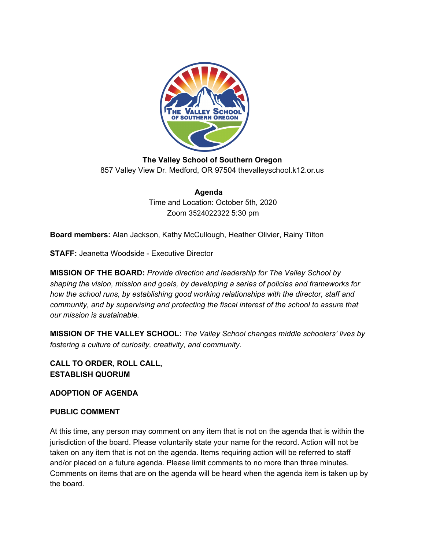

**The Valley School of Southern Oregon** 857 Valley View Dr. Medford, OR 97504 thevalleyschool.k12.or.us

> **Agenda** Time and Location: October 5th, 2020 Zoom 3524022322 5:30 pm

**Board members:** Alan Jackson, Kathy McCullough, Heather Olivier, Rainy Tilton

**STAFF:** Jeanetta Woodside - Executive Director

**MISSION OF THE BOARD:** *Provide direction and leadership for The Valley School by shaping the vision, mission and goals, by developing a series of policies and frameworks for how the school runs, by establishing good working relationships with the director, staff and community, and by supervising and protecting the fiscal interest of the school to assure that our mission is sustainable.*

**MISSION OF THE VALLEY SCHOOL:** *The Valley School changes middle schoolers' lives by fostering a culture of curiosity, creativity, and community.*

**CALL TO ORDER, ROLL CALL, ESTABLISH QUORUM**

**ADOPTION OF AGENDA**

## **PUBLIC COMMENT**

At this time, any person may comment on any item that is not on the agenda that is within the jurisdiction of the board. Please voluntarily state your name for the record. Action will not be taken on any item that is not on the agenda. Items requiring action will be referred to staff and/or placed on a future agenda. Please limit comments to no more than three minutes. Comments on items that are on the agenda will be heard when the agenda item is taken up by the board.